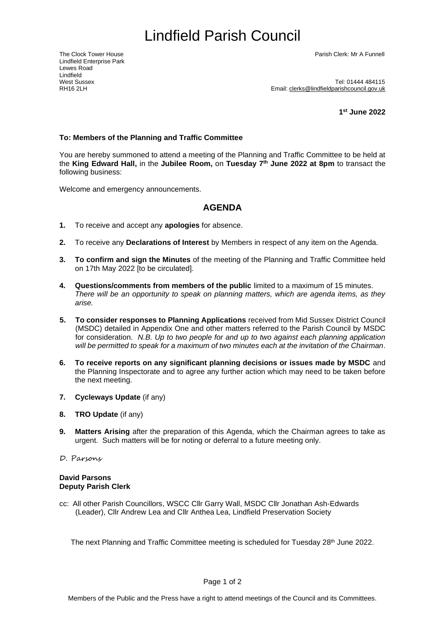# <span id="page-0-0"></span>Lindfield Parish Council

Lindfield Enterprise Park Lewes Road Lindfield<br>West Sussex

The Clock Tower House Parish Clerk: Mr A Funnell

West Sussex<br>RH16 2l H<br>RH16 2l H Email: clerks@lindfieldparishcouncil.gov.uk

**1 st June 2022**

### **To: Members of the Planning and Traffic Committee**

You are hereby summoned to attend a meeting of the Planning and Traffic Committee to be held at the **King Edward Hall,** in the **Jubilee Room,** on **Tuesday 7 th June 2022 at 8pm** to transact the following business:

Welcome and emergency announcements.

## **AGENDA**

- **1.** To receive and accept any **apologies** for absence.
- **2.** To receive any **Declarations of Interest** by Members in respect of any item on the Agenda.
- **3. To confirm and sign the Minutes** of the meeting of the Planning and Traffic Committee held on 17th May 2022 [to be circulated].
- **4. Questions/comments from members of the public** limited to a maximum of 15 minutes. *There will be an opportunity to speak on planning matters, which are agenda items, as they arise.*
- **5. To consider responses to Planning Applications** received from Mid Sussex District Council (MSDC) detailed in Appendix One and other matters referred to the Parish Council by MSDC for consideration. *N.B. Up to two people for and up to two against each planning application will be permitted to speak for a maximum of two minutes each at the invitation of the Chairman*.
- **6. To receive reports on any significant planning decisions or issues made by MSDC** and the Planning Inspectorate and to agree any further action which may need to be taken before the next meeting.
- **7. Cycleways Update** (if any)
- **8. TRO Update** (if any)
- **9. Matters Arising** after the preparation of this Agenda, which the Chairman agrees to take as urgent. Such matters will be for noting or deferral to a future meeting only.
- D. Parsons

#### **David Parsons Deputy Parish Clerk**

cc: All other Parish Councillors, WSCC Cllr Garry Wall, MSDC Cllr Jonathan Ash-Edwards (Leader), Cllr Andrew Lea and Cllr Anthea Lea, Lindfield Preservation Society

The next Planning and Traffic Committee meeting is scheduled for Tuesday 28<sup>th</sup> June 2022.